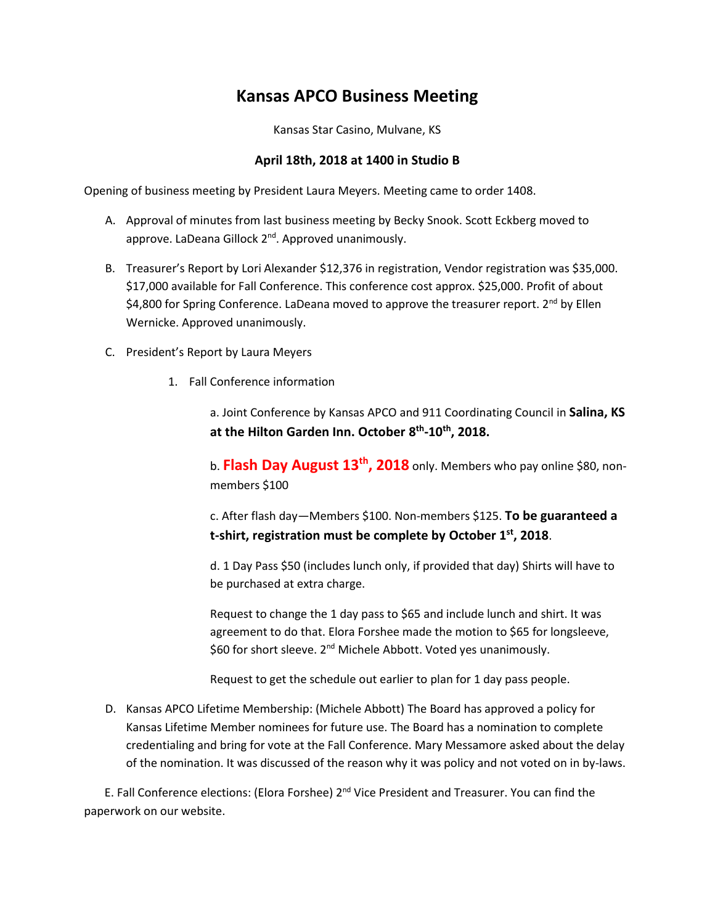## **Kansas APCO Business Meeting**

Kansas Star Casino, Mulvane, KS

## **April 18th, 2018 at 1400 in Studio B**

Opening of business meeting by President Laura Meyers. Meeting came to order 1408.

- A. Approval of minutes from last business meeting by Becky Snook. Scott Eckberg moved to approve. LaDeana Gillock 2<sup>nd</sup>. Approved unanimously.
- B. Treasurer's Report by Lori Alexander \$12,376 in registration, Vendor registration was \$35,000. \$17,000 available for Fall Conference. This conference cost approx. \$25,000. Profit of about \$4,800 for Spring Conference. LaDeana moved to approve the treasurer report.  $2^{nd}$  by Ellen Wernicke. Approved unanimously.
- C. President's Report by Laura Meyers
	- 1. Fall Conference information

a. Joint Conference by Kansas APCO and 911 Coordinating Council in **Salina, KS at the Hilton Garden Inn. October 8 th -10th, 2018.**

b. **Flash Day August 13th, 2018** only. Members who pay online \$80, nonmembers \$100

c. After flash day—Members \$100. Non-members \$125. **To be guaranteed a t-shirt, registration must be complete by October 1st, 2018**.

d. 1 Day Pass \$50 (includes lunch only, if provided that day) Shirts will have to be purchased at extra charge.

Request to change the 1 day pass to \$65 and include lunch and shirt. It was agreement to do that. Elora Forshee made the motion to \$65 for longsleeve, \$60 for short sleeve. 2<sup>nd</sup> Michele Abbott. Voted yes unanimously.

Request to get the schedule out earlier to plan for 1 day pass people.

D. Kansas APCO Lifetime Membership: (Michele Abbott) The Board has approved a policy for Kansas Lifetime Member nominees for future use. The Board has a nomination to complete credentialing and bring for vote at the Fall Conference. Mary Messamore asked about the delay of the nomination. It was discussed of the reason why it was policy and not voted on in by-laws.

E. Fall Conference elections: (Elora Forshee) 2<sup>nd</sup> Vice President and Treasurer. You can find the paperwork on our website.